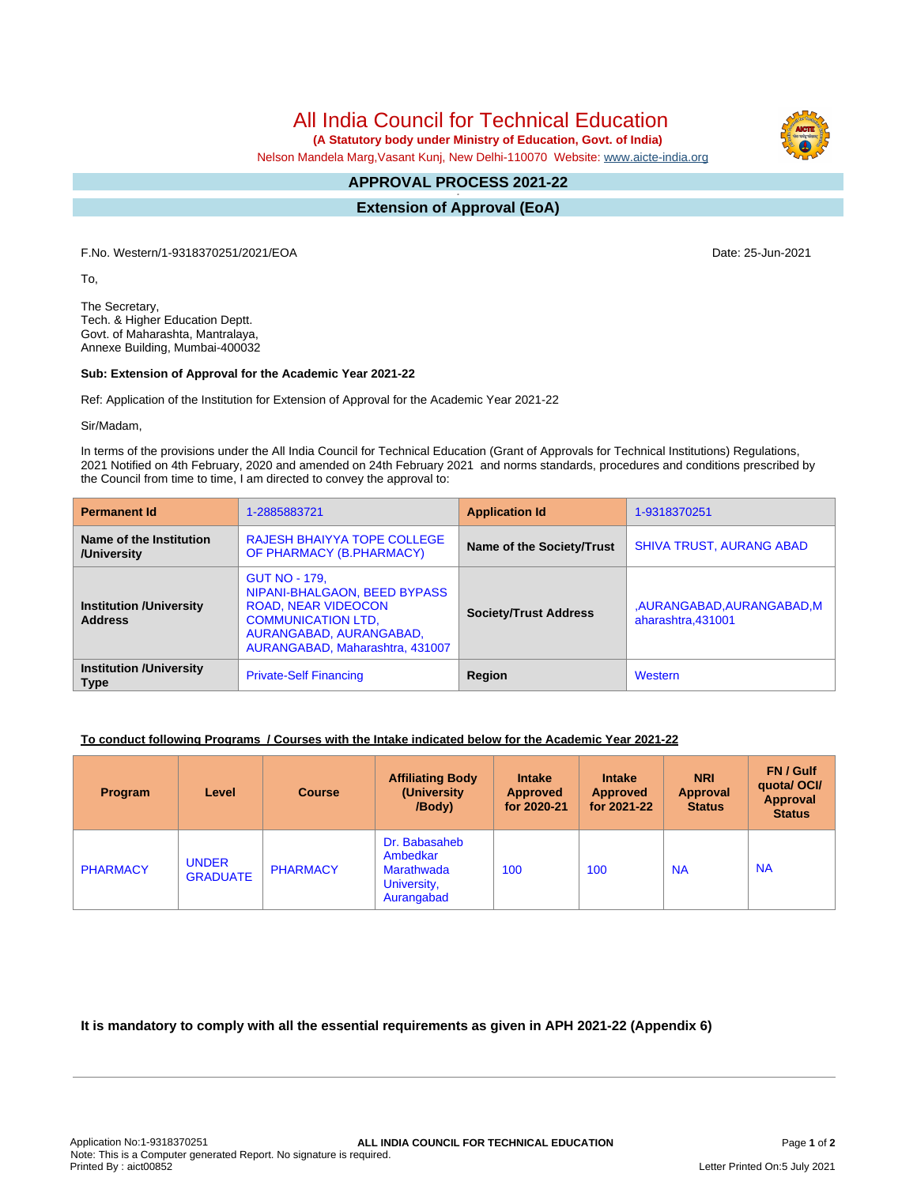All India Council for Technical Education

 **(A Statutory body under Ministry of Education, Govt. of India)**

Nelson Mandela Marg,Vasant Kunj, New Delhi-110070 Website: [www.aicte-india.org](http://www.aicte-india.org)

#### **APPROVAL PROCESS 2021-22 -**

**Extension of Approval (EoA)**

F.No. Western/1-9318370251/2021/EOA Date: 25-Jun-2021

To,

The Secretary, Tech. & Higher Education Deptt. Govt. of Maharashta, Mantralaya, Annexe Building, Mumbai-400032

## **Sub: Extension of Approval for the Academic Year 2021-22**

Ref: Application of the Institution for Extension of Approval for the Academic Year 2021-22

Sir/Madam,

In terms of the provisions under the All India Council for Technical Education (Grant of Approvals for Technical Institutions) Regulations, 2021 Notified on 4th February, 2020 and amended on 24th February 2021 and norms standards, procedures and conditions prescribed by the Council from time to time, I am directed to convey the approval to:

| <b>Permanent Id</b>                              | 1-2885883721                                                                                                                                                                  | <b>Application Id</b>        | 1-9318370251                                  |  |
|--------------------------------------------------|-------------------------------------------------------------------------------------------------------------------------------------------------------------------------------|------------------------------|-----------------------------------------------|--|
| Name of the Institution<br>/University           | <b>RAJESH BHAIYYA TOPE COLLEGE</b><br>OF PHARMACY (B.PHARMACY)                                                                                                                | Name of the Society/Trust    | <b>SHIVA TRUST, AURANG ABAD</b>               |  |
| <b>Institution /University</b><br><b>Address</b> | <b>GUT NO - 179.</b><br>NIPANI-BHALGAON, BEED BYPASS<br><b>ROAD, NEAR VIDEOCON</b><br><b>COMMUNICATION LTD.</b><br>AURANGABAD, AURANGABAD,<br>AURANGABAD, Maharashtra, 431007 | <b>Society/Trust Address</b> | ,AURANGABAD,AURANGABAD,M<br>aharashtra.431001 |  |
| <b>Institution /University</b><br><b>Type</b>    | <b>Private-Self Financing</b>                                                                                                                                                 | Region                       | Western                                       |  |

# **To conduct following Programs / Courses with the Intake indicated below for the Academic Year 2021-22**

| <b>Program</b>  | Level                           | <b>Course</b>   | <b>Affiliating Body</b><br>(University)<br>/Body)                    | <b>Intake</b><br><b>Approved</b><br>for 2020-21 | <b>Intake</b><br>Approved<br>for 2021-22 | <b>NRI</b><br><b>Approval</b><br><b>Status</b> | FN / Gulf<br>quotal OCI/<br><b>Approval</b><br><b>Status</b> |
|-----------------|---------------------------------|-----------------|----------------------------------------------------------------------|-------------------------------------------------|------------------------------------------|------------------------------------------------|--------------------------------------------------------------|
| <b>PHARMACY</b> | <b>UNDER</b><br><b>GRADUATE</b> | <b>PHARMACY</b> | Dr. Babasaheb<br>Ambedkar<br>Marathwada<br>University,<br>Aurangabad | 100                                             | 100                                      | <b>NA</b>                                      | <b>NA</b>                                                    |

**It is mandatory to comply with all the essential requirements as given in APH 2021-22 (Appendix 6)**